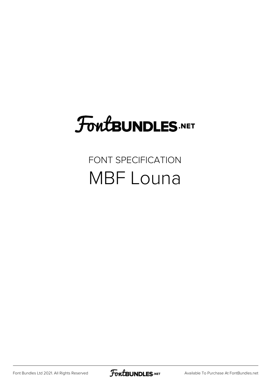# FoutBUNDLES.NET

#### FONT SPECIFICATION MBF Louna

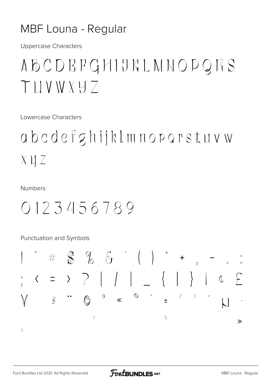#### MBF Louna - Regular

**Uppercase Characters** 

## ABCDEFGHIJKLMNOPQRS TIJVWXH7

Lowercase Characters

## abcdefghijklmnoporstuvw  $X \cup Z$

**Numbers** 

### 0123456789

Punctuation and Symbols

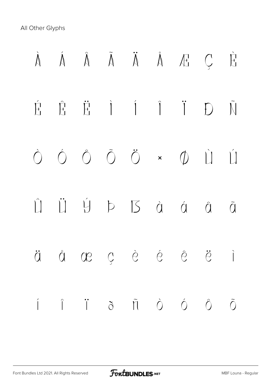All Other Glyphs

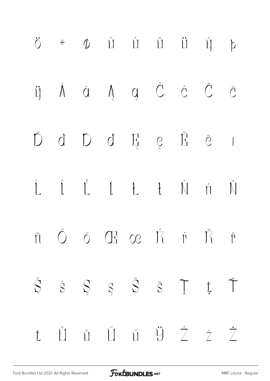